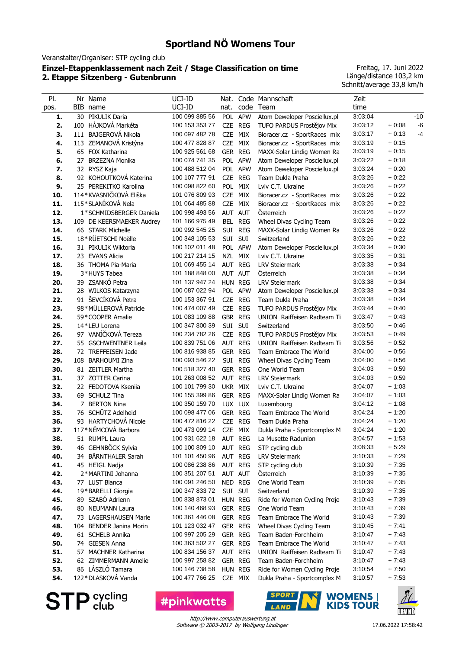Veranstalter/Organiser: STP cycling club

## **Einzel-Etappenklassement nach Zeit / Stage Classification on time 2. Etappe Sitzenberg - Gutenbrunn**

Freitag, 17. Juni 2022 Länge/distance 103,2 km Schnitt/average 33,8 km/h

| PI.        |    | Nr Name                                      | UCI-ID                           | Nat.               |                    | Code Mannschaft                                              | Zeit               |                    |       |
|------------|----|----------------------------------------------|----------------------------------|--------------------|--------------------|--------------------------------------------------------------|--------------------|--------------------|-------|
| pos.       |    | BIB name                                     | UCI-ID                           | nat.               |                    | code Team                                                    | time               |                    |       |
| 1.         | 30 | PIKULIK Daria                                | 100 099 885 56                   |                    | POL APW            | Atom Deweloper Posciellux.pl                                 | 3:03:04            |                    | $-10$ |
| 2.         |    | 100 HÁJKOVÁ Markéta                          | 100 153 353 77                   |                    | CZE REG            | TUFO PARDUS Prostějov Mix                                    | 3:03:12            | $+0.08$            | $-6$  |
| 3.         |    | 111 BAJGEROVÁ Nikola                         | 100 097 482 78                   | CZE MIX            |                    | Bioracer.cz - SportRaces mix                                 | 3:03:17            | $+0.13$            | $-4$  |
| 4.         |    | 113 ZEMANOVÁ Kristýna                        | 100 477 828 87                   | CZE MIX            |                    | Bioracer.cz - SportRaces mix                                 | 3:03:19            | $+0:15$            |       |
| 5.         |    | 65 FOX Katharina                             | 100 925 561 68                   | GER REG            |                    | MAXX-Solar Lindig Women Ra                                   | 3:03:19            | $+0.15$            |       |
| 6.         |    | 27 BRZEZNA Monika                            | 100 074 741 35                   |                    | POL APW            | Atom Deweloper Posciellux.pl                                 | 3:03:22            | $+0.18$            |       |
| 7.         |    | 32 RYSZ Kaja                                 | 100 488 512 04                   |                    | POL APW            | Atom Deweloper Posciellux.pl                                 | 3:03:24            | $+0.20$            |       |
| 8.         |    | 92 KOHOUTKOVÁ Katerina                       | 100 107 777 91                   |                    | CZE REG            | Team Dukla Praha                                             | 3:03:26            | $+0.22$            |       |
| 9.         |    | 25 PEREKITKO Karolina                        | 100 098 822 60                   | POL MIX            |                    | Lviv C.T. Ukraine                                            | 3:03:26            | $+0.22$            |       |
| 10.        |    | 114*KVASNIČKOVÁ Eliška                       | 101 076 809 93                   | CZE MIX            |                    | Bioracer.cz - SportRaces mix                                 | 3:03:26            | $+0.22$            |       |
| 11.        |    | 115*SLANÍKOVÁ Nela                           | 101 064 485 88                   | CZE MIX            |                    | Bioracer.cz - SportRaces mix                                 | 3:03:26            | $+0.22$            |       |
| 12.        |    | 1*SCHMIDSBERGER Daniela                      | 100 998 493 56                   | AUT AUT            |                    | Osterreich                                                   | 3:03:26            | $+0.22$            |       |
| 13.        |    | 109 DE KEERSMAEKER Audrey                    | 101 166 975 49                   |                    | BEL REG            | Wheel Divas Cycling Team                                     | 3:03:26            | $+0.22$            |       |
| 14.        |    | 66 STARK Michelle                            | 100 992 545 25                   | SUI                | <b>REG</b>         | MAXX-Solar Lindig Women Ra                                   | 3:03:26            | $+0.22$            |       |
| 15.        |    | 18*RÜETSCHI Noëlle                           | 100 348 105 53                   | Sui                | SUI                | Switzerland                                                  | 3:03:26            | $+0.22$            |       |
| 16.        |    | 31 PIKULIK Wiktoria                          | 100 102 011 48                   |                    | POL APW            | Atom Deweloper Posciellux.pl                                 | 3:03:34            | $+0.30$            |       |
| 17.        |    | 23 EVANS Alicia                              | 100 217 214 15                   | NZL MIX            |                    | Lviv C.T. Ukraine                                            | 3:03:35            | $+0.31$            |       |
| 18.        |    | 36 THOMA Pia-Maria                           | 101 069 455 14                   | AUT REG            |                    | <b>LRV Steiermark</b>                                        | 3:03:38            | $+0.34$            |       |
| 19.        |    | 3*HUYS Tabea                                 | 101 188 848 00                   | AUT AUT            |                    | Österreich                                                   | 3:03:38            | $+0.34$            |       |
| 20.        |    | 39 ZSANKÓ Petra                              | 101 137 947 24                   | HUN REG            |                    | <b>LRV Steiermark</b>                                        | 3:03:38            | $+0.34$            |       |
| 21.        |    | 28 WILKOS Katarzyna                          | 100 087 022 94                   |                    | POL APW            | Atom Deweloper Posciellux.pl                                 | 3:03:38            | $+0.34$            |       |
| 22.        |    | 91 ŠEVCÍKOVÁ Petra                           | 100 153 367 91                   |                    | CZE REG            | Team Dukla Praha                                             | 3:03:38            | $+0.34$            |       |
| 23.        |    | 98*MÜLLEROVÁ Patricie                        | 100 474 007 49                   |                    | CZE REG            | TUFO PARDUS Prostějov Mix                                    | 3:03:44            | $+0.40$            |       |
| 24.        |    | 59*COOPER Amalie                             | 101 083 109 88                   | GBR REG            |                    | UNION Raiffeisen Radteam Ti                                  | 3.03.47            | $+0.43$            |       |
| 25.        |    | 14*LEU Lorena                                | 100 347 800 39                   | SUI SUI            |                    | Switzerland                                                  | 3:03:50            | $+0.46$            |       |
| 26.        |    | 97 VANÍČKOVÁ Tereza                          | 100 234 782 26                   |                    | CZE REG            | TUFO PARDUS Prostějov Mix                                    | 3:03:53            | $+0.49$            |       |
| 27.        |    | 55 GSCHWENTNER Leila                         | 100 839 751 06                   | AUT REG            |                    | UNION Raiffeisen Radteam Ti                                  | 3:03:56            | $+0.52$            |       |
| 28.        |    | 72 TREFFEISEN Jade                           | 100 816 938 85                   | GER REG            |                    | Team Embrace The World                                       | 3:04:00            | $+0.56$            |       |
| 29.        |    | 108 BARHOUMI Zina                            | 100 093 546 22                   |                    | SUI REG            | Wheel Divas Cycling Team                                     | 3:04:00            | $+0.56$            |       |
| 30.        |    | 81 ZEITLER Martha                            | 100 518 327 40                   | GER REG            |                    | One World Team                                               | 3:04:03            | $+0.59$            |       |
| 31.        |    | 37 ZOTTER Carina                             | 101 263 008 52                   | AUT REG            |                    | <b>LRV Steiermark</b>                                        | 3:04:03            | $+0.59$            |       |
| 32.        |    | 22 FEDOTOVA Kseniia                          | 100 101 799 30                   | UKR MIX            |                    | Lviv C.T. Ukraine                                            | 3:04:07            | $+1:03$            |       |
| 33.        |    | 69 SCHULZ Tina                               | 100 155 399 86                   | GER REG            |                    | MAXX-Solar Lindig Women Ra                                   | 3:04:07            | $+1:03$            |       |
| 34.        | 7  | <b>BERTON Nina</b>                           | 100 350 159 70                   | LUX LUX            |                    | Luxembourg                                                   | 3:04:12            | $+1:08$            |       |
| 35.        |    | 76 SCHÜTZ Adelheid                           | 100 098 477 06                   | GER REG            |                    | Team Embrace The World                                       | 3:04:24            | $+1:20$            |       |
| 36.        |    | 93 HARTYCHOVÁ Nicole                         | 100 472 816 22                   |                    | CZE REG            | Team Dukla Praha                                             | 3:04:24            | $+1:20$            |       |
| 37.        |    | 117*NĚMCOVÁ Barbora                          | 100 473 099 14                   | CZE MIX            |                    | Dukla Praha - Sportcomplex M                                 | 3:04:24            | $+1:20$            |       |
| 38.        |    | 51 RUMPL Laura                               |                                  |                    |                    | 100 931 622 18 AUT REG La Musette Radunion                   | 3:04:57            | $+1:53$            |       |
| 39.        |    | 46 GEHNBÖCK Sylvia                           | 100 100 809 10                   | AUT REG            |                    | STP cycling club                                             | 3:08:33            | $+5.29$            |       |
| 40.        |    | 34 BÄRNTHALER Sarah                          | 101 101 450 96                   |                    | AUT REG            | <b>LRV Steiermark</b>                                        | 3:10:33            | $+7:29$            |       |
| 41.        |    | 45 HEIGL Nadja                               | 100 086 238 86                   | AUT REG            |                    | STP cycling club                                             | 3:10:39            | $+7:35$<br>$+7:35$ |       |
| 42.        |    | 2*MARTINI Johanna                            | 100 351 207 51                   | AUT AUT            |                    | Österreich<br>One World Team                                 | 3:10:39            |                    |       |
| 43.<br>44. |    | 77 LUST Bianca                               | 100 091 246 50<br>100 347 833 72 | NED REG<br>SUI SUI |                    |                                                              | 3:10:39<br>3:10:39 | $+7:35$<br>$+7:35$ |       |
| 45.        |    | 19*BARELLI Giorgia<br>89 SZABÓ Adrienn       | 100 838 873 01                   |                    |                    | Switzerland                                                  |                    | $+7:39$            |       |
|            |    | 80 NEUMANN Laura                             | 100 140 468 93                   | HUN REG            | GER REG            | Ride for Women Cycling Proje<br>One World Team               | 3:10:43<br>3:10:43 | $+7:39$            |       |
| 46.        |    |                                              |                                  |                    |                    |                                                              |                    |                    |       |
| 47.        |    | 73 LAGERSHAUSEN Marie                        | 100 361 446 08                   |                    | GER REG            | Team Embrace The World                                       | 3:10:43<br>3:10:45 | $+7:39$<br>$+7.41$ |       |
| 48.        |    | 104 BENDER Janina Morin                      | 101 123 032 47                   |                    | GER REG<br>GER REG | Wheel Divas Cycling Team                                     |                    | $+7:43$            |       |
| 49.        |    | 61 SCHELB Annika                             | 100 997 205 29                   |                    |                    | Team Baden-Forchheim                                         | 3:10:47            | $+7:43$            |       |
| 50.        |    | 74 GIESEN Anna                               | 100 363 502 27<br>100 834 156 37 | GER REG            |                    | Team Embrace The World<br>UNION Raiffeisen Radteam Ti        | 3:10:47<br>3:10:47 | $+7:43$            |       |
| 51.        |    | 57 MACHNER Katharina<br>62 ZIMMERMANN Amelie |                                  | AUT REG            |                    |                                                              |                    | $+7:43$            |       |
| 52.<br>53. |    | 86 LÁSZLÓ Tamara                             | 100 997 258 82<br>100 146 738 58 | HUN REG            | GER REG            | Team Baden-Forchheim                                         | 3:10:47<br>3:10:54 | $+7:50$            |       |
| 54.        |    | 122*DLASKOVÁ Vanda                           | 100 477 766 25                   |                    | CZE MIX            | Ride for Women Cycling Proje<br>Dukla Praha - Sportcomplex M | 3:10:57            | $+7:53$            |       |
|            |    |                                              |                                  |                    |                    |                                                              |                    |                    |       |

**STP** Sycling

**#pinkwatts** 



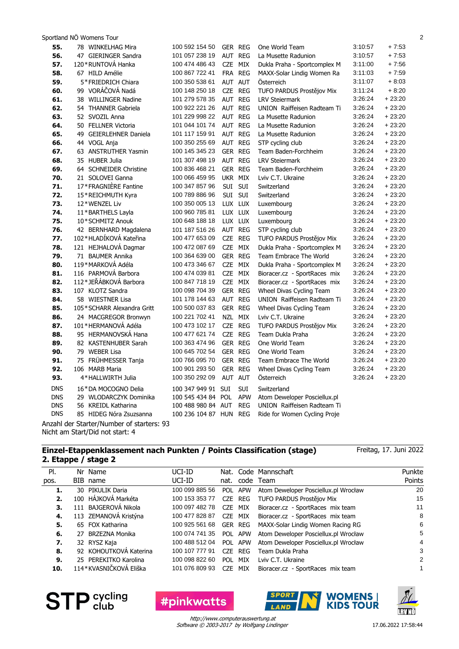| 55.        | 78 WINKELHAG Mira          | 100 592 154 50         | GER REG                  | One World Team               | 3:10:57 | $+7:53$  |
|------------|----------------------------|------------------------|--------------------------|------------------------------|---------|----------|
| 56.        | 47 GIERINGER Sandra        | 101 057 238 19         | AUT REG                  | La Musette Radunion          | 3:10:57 | $+7:53$  |
| 57.        | 120 * RUNTOVÁ Hanka        | 100 474 486 43         | CZE MIX                  | Dukla Praha - Sportcomplex M | 3:11:00 | $+7:56$  |
| 58.        | 67 HILD Amélie             | 100 867 722 41         | FRA REG                  | MAXX-Solar Lindig Women Ra   | 3:11:03 | $+7:59$  |
| 59.        | 5*FRIEDRICH Chiara         | 100 350 538 61         | AUT AUT                  | <b>Osterreich</b>            | 3:11:07 | $+8.03$  |
| 60.        | 99 VORÁČOVÁ Nadá           | 100 148 250 18         | CZE REG                  | TUFO PARDUS Prostějov Mix    | 3:11:24 | $+8:20$  |
| 61.        | 38 WILLINGER Nadine        | 101 279 578 35         | AUT REG                  | <b>LRV Steiermark</b>        | 3:26:24 | $+23:20$ |
| 62.        | 54 THANNER Gabriela        | 100 922 221 26         | AUT REG                  | UNION Raiffeisen Radteam Ti  | 3:26:24 | $+23:20$ |
| 63.        | 52 SVOZIL Anna             | 101 229 998 22         | AUT REG                  | La Musette Radunion          | 3:26:24 | $+23:20$ |
| 64.        | 50 FELLNER Victoria        | 101 044 101 74         | AUT REG                  | La Musette Radunion          | 3:26:24 | $+23:20$ |
| 65.        | 49 GEIERLEHNER Daniela     | 101 117 159 91         | AUT REG                  | La Musette Radunion          | 3:26:24 | $+23:20$ |
| 66.        | 44 VOGL Anja               | 100 350 255 69         | AUT REG                  | STP cycling club             | 3:26:24 | $+23:20$ |
| 67.        | 63 ANSTRUTHER Yasmin       | 100 145 345 23         | GER REG                  | Team Baden-Forchheim         | 3.26.24 | $+23:20$ |
| 68.        | 35 HUBER Julia             | 101 307 498 19         | AUT REG                  | <b>LRV Steiermark</b>        | 3:26:24 | $+23:20$ |
| 69.        | 64 SCHNEIDER Christine     | 100 836 468 21         | GER REG                  | Team Baden-Forchheim         | 3:26:24 | $+23:20$ |
| 70.        | 21 SOLOVEI Ganna           | 100 066 459 95         | UKR MIX                  | Lviv C.T. Ukraine            | 3.26.24 | $+23:20$ |
| 71.        | 17*FRAGNIERE Fantine       | 100 347 857 96         | SUI SUI                  | Switzerland                  | 3:26:24 | $+23:20$ |
| 72.        | 15*REICHMUTH Kyra          | 100 789 886 96         | SUI SUI                  | Switzerland                  | 3:26:24 | $+23:20$ |
| 73.        | 12*WENZEL Liv              | 100 350 005 13         | LUX LUX                  | Luxembourg                   | 3:26:24 | $+23:20$ |
| 74.        | 11*BARTHELS Layla          | 100 960 785 81         | LUX LUX                  | Luxembourg                   | 3:26:24 | $+23:20$ |
| 75.        | 10*SCHMITZ Anouk           | 100 648 188 18         | LUX LUX                  | Luxembourg                   | 3.26.24 | $+23:20$ |
| 76.        | 42 BERNHARD Magdalena      | 101 187 516 26         | AUT REG                  | STP cycling club             | 3.26.24 | $+23:20$ |
| 77.        | 102*HLADÍKOVÁ Kateřina     | 100 477 653 09         | CZE REG                  | TUFO PARDUS Prostějov Mix    | 3:26:24 | $+23:20$ |
| 78.        | 121 HEJHALOVÁ Dagmar       | 100 472 087 69         | CZE MIX                  | Dukla Praha - Sportcomplex M | 3:26:24 | $+23:20$ |
| 79.        | 71 BAUMER Annika           | 100 364 639 00         | GER REG                  | Team Embrace The World       | 3:26:24 | $+23:20$ |
| 80.        | 119*MARKOVÁ Adéla          | 100 473 346 67         | CZE MIX                  | Dukla Praha - Sportcomplex M | 3:26:24 | $+23:20$ |
| 81.        | 116 PARMOVÁ Barbora        | 100 474 039 81         | CZE MIX                  | Bioracer.cz - SportRaces mix | 3:26:24 | $+23:20$ |
| 82.        | 112*JEŘÁBKOVÁ Barbora      | 100 847 718 19         | CZE MIX                  | Bioracer.cz - SportRaces mix | 3:26:24 | $+23:20$ |
| 83.        | 107 KLOTZ Sandra           | 100 098 704 39         | <b>GER REG</b>           | Wheel Divas Cycling Team     | 3:26:24 | $+23:20$ |
| 84.        | 58 WIESTNER Lisa           | 101 178 144 63         | AUT REG                  | UNION Raiffeisen Radteam Ti  | 3:26:24 | $+23:20$ |
| 85.        | 105*SCHARR Alexandra Gritt | 100 500 037 83         | GER REG                  | Wheel Divas Cycling Team     | 3:26:24 | $+23:20$ |
| 86.        | 24 MACGREGOR Bronwyn       | 100 221 702 41         | NZL MIX                  | Lviv C.T. Ukraine            | 3.26.24 | $+23:20$ |
| 87.        | 101*HERMANOVÁ Adéla        | 100 473 102 17         | CZE REG                  | TUFO PARDUS Prostějov Mix    | 3:26:24 | $+23:20$ |
| 88.        | 95 HERMANOVSKÁ Hana        | 100 477 621 74         | CZE REG                  | Team Dukla Praha             | 3:26:24 | $+23:20$ |
| 89.        | 82 KASTENHUBER Sarah       | 100 363 474 96         | GER REG                  | One World Team               | 3:26:24 | $+23:20$ |
| 90.        | 79 WEBER Lisa              | 100 645 702 54         | GER REG                  | One World Team               | 3:26:24 | $+23:20$ |
| 91.        | 75 FRÜHMESSER Tanja        | 100 766 095 70         | <b>GER REG</b>           | Team Embrace The World       | 3:26:24 | $+23:20$ |
| 92.        | 106 MARB Maria             | 100 901 293 50         | GER REG                  | Wheel Divas Cycling Team     | 3:26:24 | $+23:20$ |
| 93.        | 4*HALLWIRTH Julia          | 100 350 292 09         | AUT AUT                  | Österreich                   | 3:26:24 | $+23:20$ |
| <b>DNS</b> | 16*DA MOCOGNO Delia        | 100 347 949 91 SUI     | <b>SUI</b>               | Switzerland                  |         |          |
| <b>DNS</b> | 29 WLODARCZYK Dominika     | 100 545 434 84         | <b>APW</b><br><b>POL</b> | Atom Deweloper Posciellux.pl |         |          |
| <b>DNS</b> | 56 KREIDL Katharina        | 100 488 980 84 AUT     | <b>REG</b>               | UNION Raiffeisen Radteam Ti  |         |          |
| <b>DNS</b> | 85 HIDEG Nóra Zsuzsanna    | 100 236 104 87 HUN REG |                          | Ride for Women Cycling Proje |         |          |
|            | $\cdots$<br>$\sim$         |                        |                          |                              |         |          |

Anzahl der Starter/Number of starters: 93 Nicht am Start/Did not start: 4

#### **Einzel-Etappenklassement nach Punkten / Points Classification (stage) 2. Etappe / stage 2**

Freitag, 17. Juni 2022

| PI.  |     | Nr Name                | UCI-ID         |            |            | Nat. Code Mannschaft                 | Punkte |
|------|-----|------------------------|----------------|------------|------------|--------------------------------------|--------|
| pos. |     | BIB name               | UCI-ID         |            |            | nat. code Team                       | Points |
| 1.   |     | 30 PIKULIK Daria       | 100 099 885 56 | POL.       | <b>APW</b> | Atom Deweloper Posciellux.pl Wrocław | 20     |
| 2.   |     | 100 HÁJKOVÁ Markéta    | 100 153 353 77 |            | CZE REG    | TUFO PARDUS Prostějov Mix            | 15     |
| 3.   |     | 111 BAJGEROVÁ Nikola   | 100 097 482 78 | <b>CZE</b> | MIX        | Bioracer.cz - SportRaces mix team    | 11     |
| 4.   |     | 113 ZEMANOVÁ Kristýna  | 100 477 828 87 | CZE.       | MIX        | Bioracer.cz - SportRaces mix team    | 8      |
| 5.   |     | 65 FOX Katharina       | 100 925 561 68 |            | GER REG    | MAXX-Solar Lindig Women Racing RG    | -6     |
| 6.   | 27. | BRZEZNA Monika         | 100 074 741 35 | <b>POL</b> | <b>APW</b> | Atom Deweloper Posciellux.pl Wrocław | 5      |
| 7.   |     | 32 RYSZ Kaja           | 100 488 512 04 | <b>POL</b> | <b>APW</b> | Atom Deweloper Posciellux.pl Wrocław | 4      |
| 8.   |     | 92 KOHOUTKOVÁ Katerina | 100 107 777 91 | CZE.       | REG        | Team Dukla Praha                     | 3      |
| 9.   |     | 25 PEREKITKO Karolina  | 100 098 822 60 | <b>POL</b> | <b>MIX</b> | Lviv C.T. Ukraine                    | 2      |
| 10.  |     | 114*KVASNIČKOVÁ Eliška | 101 076 809 93 | CZE.       | MIX        | Bioracer.cz - SportRaces mix team    |        |



**#pinkwatts** 

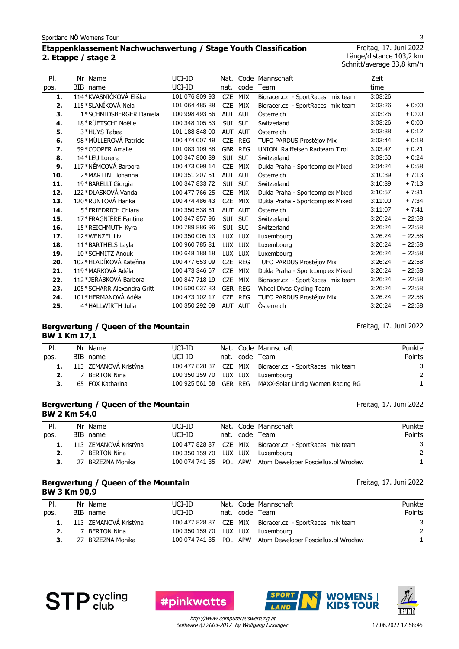## **Etappenklassement Nachwuchswertung / Stage Youth Classification 2. Etappe / stage 2**

Freitag, 17. Juni 2022 Länge/distance 103,2 km Schnitt/average 33,8 km/h

| PI.  | Nr Name                    | UCI-ID         | Nat.       |            | Code Mannschaft                   | Zeit    |          |
|------|----------------------------|----------------|------------|------------|-----------------------------------|---------|----------|
| pos. | BIB name                   | UCI-ID         | nat.       | code       | Team                              | time    |          |
| 1.   | 114*KVASNIČKOVÁ Eliška     | 101 076 809 93 | <b>CZE</b> | MIX        | Bioracer.cz - SportRaces mix team | 3:03:26 |          |
| 2.   | 115*SLANÍKOVÁ Nela         | 101 064 485 88 | <b>CZE</b> | <b>MIX</b> | Bioracer.cz - SportRaces mix team | 3:03:26 | $+0:00$  |
| 3.   | 1*SCHMIDSBERGER Daniela    | 100 998 493 56 | <b>AUT</b> | <b>AUT</b> | Österreich                        | 3:03:26 | $+0:00$  |
| 4.   | 18*RÜETSCHI Noëlle         | 100 348 105 53 | <b>SUI</b> | <b>SUI</b> | Switzerland                       | 3:03:26 | $+0.00$  |
| 5.   | 3*HUYS Tabea               | 101 188 848 00 | <b>AUT</b> | <b>AUT</b> | Österreich                        | 3:03:38 | $+0.12$  |
| 6.   | 98*MÜLLEROVÁ Patricie      | 100 474 007 49 | <b>CZE</b> | <b>REG</b> | TUFO PARDUS Prostějov Mix         | 3:03:44 | $+0.18$  |
| 7.   | 59*COOPER Amalie           | 101 083 109 88 | <b>GBR</b> | <b>REG</b> | UNION Raiffeisen Radteam Tirol    | 3:03:47 | $+0.21$  |
| 8.   | 14*LEU Lorena              | 100 347 800 39 | <b>SUI</b> | <b>SUI</b> | Switzerland                       | 3:03:50 | $+0:24$  |
| 9.   | 117*NĚMCOVÁ Barbora        | 100 473 099 14 | <b>CZE</b> | <b>MIX</b> | Dukla Praha - Sportcomplex Mixed  | 3:04:24 | $+0.58$  |
| 10.  | 2*MARTINI Johanna          | 100 351 207 51 | AUT        | <b>AUT</b> | Österreich                        | 3:10:39 | $+7:13$  |
| 11.  | 19*BARELLI Giorgia         | 100 347 833 72 | <b>SUI</b> | <b>SUI</b> | Switzerland                       | 3:10:39 | $+7:13$  |
| 12.  | 122*DLASKOVÁ Vanda         | 100 477 766 25 | <b>CZE</b> | <b>MIX</b> | Dukla Praha - Sportcomplex Mixed  | 3:10:57 | $+7:31$  |
| 13.  | 120*RUNTOVÁ Hanka          | 100 474 486 43 | <b>CZE</b> | <b>MIX</b> | Dukla Praha - Sportcomplex Mixed  | 3:11:00 | $+7:34$  |
| 14.  | 5*FRIEDRICH Chiara         | 100 350 538 61 | <b>AUT</b> | <b>AUT</b> | Österreich                        | 3:11:07 | $+7:41$  |
| 15.  | 17*FRAGNIÈRE Fantine       | 100 347 857 96 | <b>SUI</b> | <b>SUI</b> | Switzerland                       | 3:26:24 | $+22:58$ |
| 16.  | 15*REICHMUTH Kyra          | 100 789 886 96 | SUI        | <b>SUI</b> | Switzerland                       | 3:26:24 | $+22:58$ |
| 17.  | 12*WENZEL Liv              | 100 350 005 13 |            | LUX LUX    | Luxembourg                        | 3:26:24 | $+22:58$ |
| 18.  | 11*BARTHELS Layla          | 100 960 785 81 | <b>LUX</b> | <b>LUX</b> | Luxembourg                        | 3:26:24 | $+22:58$ |
| 19.  | 10*SCHMITZ Anouk           | 100 648 188 18 | <b>LUX</b> | <b>LUX</b> | Luxembourg                        | 3:26:24 | $+22:58$ |
| 20.  | 102*HLADÍKOVÁ Kateřina     | 100 477 653 09 | <b>CZE</b> | <b>REG</b> | TUFO PARDUS Prostějov Mix         | 3:26:24 | $+22:58$ |
| 21.  | 119*MARKOVÁ Adéla          | 100 473 346 67 | <b>CZE</b> | <b>MIX</b> | Dukla Praha - Sportcomplex Mixed  | 3:26:24 | $+22:58$ |
| 22.  | 112*JEŘÁBKOVÁ Barbora      | 100 847 718 19 | <b>CZE</b> | <b>MIX</b> | Bioracer.cz - SportRaces mix team | 3:26:24 | $+22:58$ |
| 23.  | 105*SCHARR Alexandra Gritt | 100 500 037 83 | GER        | <b>REG</b> | Wheel Divas Cycling Team          | 3:26:24 | $+22:58$ |
| 24.  | 101*HERMANOVÁ Adéla        | 100 473 102 17 | <b>CZE</b> | <b>REG</b> | TUFO PARDUS Prostějov Mix         | 3:26:24 | $+22:58$ |
| 25.  | 4*HALLWIRTH Julia          | 100 350 292 09 | <b>AUT</b> | <b>AUT</b> | Österreich                        | 3:26:24 | $+22:58$ |
|      |                            |                |            |            |                                   |         |          |

#### **Bergwertung / Queen of the Mountain BW 1 Km 17,1**

| PI.  | Nr Name                  | UCI-ID                            |  | Nat. Code Mannschaft                                     | Punkte |
|------|--------------------------|-----------------------------------|--|----------------------------------------------------------|--------|
| pos. | BIB name                 | UCI-ID                            |  | nat. code Team                                           | Points |
|      | 1. 113 ZEMANOVÁ Kristýna |                                   |  | 100 477 828 87 CZE MIX Bioracer.cz - SportRaces mix team | -3     |
|      | 7 BERTON Nina            | 100 350 159 70 LUX LUX Luxembourg |  |                                                          | -2     |
|      | 65 FOX Katharina         |                                   |  | 100 925 561 68 GER REG MAXX-Solar Lindig Women Racing RG |        |
|      |                          |                                   |  |                                                          |        |

#### **Bergwertung / Queen of the Mountain BW 2 Km 54,0**

| PI.  | Nr Name                  | UCI-ID                            |  | Nat. Code Mannschaft                                        | Punkte |
|------|--------------------------|-----------------------------------|--|-------------------------------------------------------------|--------|
| pos. | BIB name                 | UCI-ID                            |  | nat. code Team                                              | Points |
|      | 1. 113 ZEMANOVÁ Kristýna |                                   |  | 100 477 828 87 CZE MIX Bioracer.cz - SportRaces mix team    | 3      |
|      | 7 BERTON Nina            | 100 350 159 70 LUX LUX Luxembourg |  |                                                             | 2      |
|      | 27 BRZEZNA Monika        |                                   |  | 100 074 741 35 POL APW Atom Deweloper Posciellux.pl Wrocław |        |

#### **Bergwertung / Queen of the Mountain BW 3 Km 90,9**

| PI.  | Nr Name                  | UCI-ID                            |  | Nat. Code Mannschaft                                        | Punkte        |
|------|--------------------------|-----------------------------------|--|-------------------------------------------------------------|---------------|
| pos. | BIB name                 | UCI-ID                            |  | nat. code Team                                              | Points        |
|      | 1. 113 ZEMANOVÁ Kristýna |                                   |  | 100 477 828 87 CZE MIX Bioracer.cz - SportRaces mix team    | -3            |
|      | 7 BERTON Nina            | 100 350 159 70 LUX LUX Luxembourg |  |                                                             | $\mathcal{P}$ |
| 3.   | 27 BRZEZNA Monika        |                                   |  | 100 074 741 35 POL APW Atom Deweloper Posciellux.pl Wrocław |               |









Software © 2003-2017 by Wolfgang Lindinger http://www.computerauswertung.at

Freitag, 17. Juni 2022

Freitag, 17. Juni 2022

Freitag, 17. Juni 2022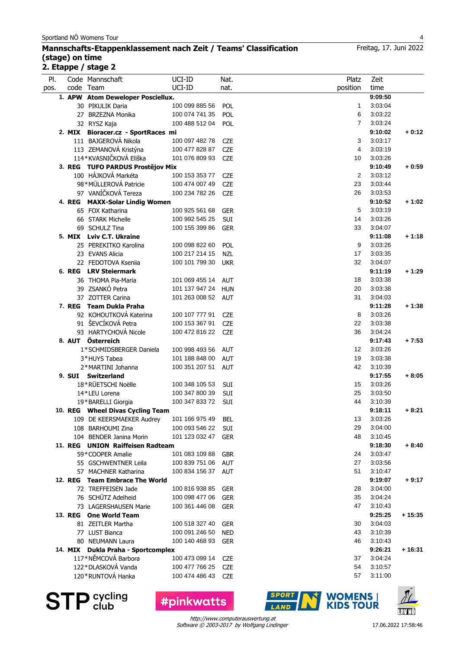## **Mannschafts-Etappenklassement nach Zeit / Teams' Classification (stage) on time 2. Etappe / stage 2**

| PI.<br>Code Mannschaft<br>UCI-ID<br>Nat.<br>Platz<br>UCI-ID<br>code Team<br>position<br>nat.<br>pos.<br>1. APW Atom Deweloper Posciellux.<br>100 099 885 56<br>30 PIKULIK Daria<br>POL<br>1<br>27 BRZEZNA Monika<br>100 074 741 35<br><b>POL</b><br>6<br>100 488 512 04<br>$\overline{7}$<br>32 RYSZ Kaja<br>POL<br>2. MIX Bioracer.cz - SportRaces mi<br>111 BAJGEROVÁ Nikola<br>3<br>100 097 482 78<br><b>CZE</b><br>113 ZEMANOVÁ Kristýna<br>100 477 828 87<br><b>CZE</b><br>4<br>114*KVASNIČKOVÁ Eliška<br><b>CZE</b><br>101 076 809 93<br>10<br>3. REG TUFO PARDUS Prostějov Mix<br>100 HÁJKOVÁ Markéta<br>100 153 353 77<br>2<br><b>CZE</b><br>98*MÜLLEROVÁ Patricie<br>100 474 007 49<br><b>CZE</b><br>23<br>97 VANÍČKOVÁ Tereza<br>100 234 782 26<br><b>CZE</b><br>26<br>4. REG MAXX-Solar Lindig Women<br>65 FOX Katharina<br>5<br>100 925 561 68<br><b>GER</b><br>66 STARK Michelle<br>14<br>SUI<br>100 992 545 25<br>69 SCHULZ Tina<br>100 155 399 86<br><b>GER</b><br>33<br>5. MIX Lviv C.T. Ukraine<br>25 PEREKITKO Karolina<br>100 098 822 60<br>POL<br>9<br>23 EVANS Alicia<br>100 217 214 15<br><b>NZL</b><br>17<br>22 FEDOTOVA Kseniia<br>100 101 799 30<br>32<br><b>UKR</b><br>6. REG LRV Steiermark<br>36 THOMA Pia-Maria<br>101 069 455 14<br>18<br><b>AUT</b><br>39 ZSANKÓ Petra<br>20<br>101 137 947 24 HUN<br>37 ZOTTER Carina<br>101 263 008 52 AUT<br>31<br>7. REG Team Dukla Praha<br>92 KOHOUTKOVÁ Katerina<br>100 107 777 91<br><b>CZE</b><br>8<br>91 ŠEVCÍKOVÁ Petra<br>100 153 367 91<br><b>CZE</b><br>22<br>93 HARTYCHOVÁ Nicole<br>36<br>100 472 816 22<br><b>CZE</b> | Zeit<br>time<br>9:09:50<br>3:03:04<br>3:03:22<br>3:03:24<br>9:10:02<br>3:03:17<br>3:03:19<br>3:03:26<br>9:10:49<br>3:03:12<br>3:03:44<br>3:03:53<br>9:10:52<br>3:03:19<br>3:03:26<br>3:04:07 | $+0:12$<br>$+0:59$<br>$+1:02$ |
|-------------------------------------------------------------------------------------------------------------------------------------------------------------------------------------------------------------------------------------------------------------------------------------------------------------------------------------------------------------------------------------------------------------------------------------------------------------------------------------------------------------------------------------------------------------------------------------------------------------------------------------------------------------------------------------------------------------------------------------------------------------------------------------------------------------------------------------------------------------------------------------------------------------------------------------------------------------------------------------------------------------------------------------------------------------------------------------------------------------------------------------------------------------------------------------------------------------------------------------------------------------------------------------------------------------------------------------------------------------------------------------------------------------------------------------------------------------------------------------------------------------------------------------------------------------------------------------------------------|----------------------------------------------------------------------------------------------------------------------------------------------------------------------------------------------|-------------------------------|
|                                                                                                                                                                                                                                                                                                                                                                                                                                                                                                                                                                                                                                                                                                                                                                                                                                                                                                                                                                                                                                                                                                                                                                                                                                                                                                                                                                                                                                                                                                                                                                                                       |                                                                                                                                                                                              |                               |
|                                                                                                                                                                                                                                                                                                                                                                                                                                                                                                                                                                                                                                                                                                                                                                                                                                                                                                                                                                                                                                                                                                                                                                                                                                                                                                                                                                                                                                                                                                                                                                                                       |                                                                                                                                                                                              |                               |
|                                                                                                                                                                                                                                                                                                                                                                                                                                                                                                                                                                                                                                                                                                                                                                                                                                                                                                                                                                                                                                                                                                                                                                                                                                                                                                                                                                                                                                                                                                                                                                                                       |                                                                                                                                                                                              |                               |
|                                                                                                                                                                                                                                                                                                                                                                                                                                                                                                                                                                                                                                                                                                                                                                                                                                                                                                                                                                                                                                                                                                                                                                                                                                                                                                                                                                                                                                                                                                                                                                                                       |                                                                                                                                                                                              |                               |
|                                                                                                                                                                                                                                                                                                                                                                                                                                                                                                                                                                                                                                                                                                                                                                                                                                                                                                                                                                                                                                                                                                                                                                                                                                                                                                                                                                                                                                                                                                                                                                                                       |                                                                                                                                                                                              |                               |
|                                                                                                                                                                                                                                                                                                                                                                                                                                                                                                                                                                                                                                                                                                                                                                                                                                                                                                                                                                                                                                                                                                                                                                                                                                                                                                                                                                                                                                                                                                                                                                                                       |                                                                                                                                                                                              |                               |
|                                                                                                                                                                                                                                                                                                                                                                                                                                                                                                                                                                                                                                                                                                                                                                                                                                                                                                                                                                                                                                                                                                                                                                                                                                                                                                                                                                                                                                                                                                                                                                                                       |                                                                                                                                                                                              |                               |
|                                                                                                                                                                                                                                                                                                                                                                                                                                                                                                                                                                                                                                                                                                                                                                                                                                                                                                                                                                                                                                                                                                                                                                                                                                                                                                                                                                                                                                                                                                                                                                                                       |                                                                                                                                                                                              |                               |
|                                                                                                                                                                                                                                                                                                                                                                                                                                                                                                                                                                                                                                                                                                                                                                                                                                                                                                                                                                                                                                                                                                                                                                                                                                                                                                                                                                                                                                                                                                                                                                                                       |                                                                                                                                                                                              |                               |
|                                                                                                                                                                                                                                                                                                                                                                                                                                                                                                                                                                                                                                                                                                                                                                                                                                                                                                                                                                                                                                                                                                                                                                                                                                                                                                                                                                                                                                                                                                                                                                                                       |                                                                                                                                                                                              |                               |
|                                                                                                                                                                                                                                                                                                                                                                                                                                                                                                                                                                                                                                                                                                                                                                                                                                                                                                                                                                                                                                                                                                                                                                                                                                                                                                                                                                                                                                                                                                                                                                                                       |                                                                                                                                                                                              |                               |
|                                                                                                                                                                                                                                                                                                                                                                                                                                                                                                                                                                                                                                                                                                                                                                                                                                                                                                                                                                                                                                                                                                                                                                                                                                                                                                                                                                                                                                                                                                                                                                                                       |                                                                                                                                                                                              |                               |
|                                                                                                                                                                                                                                                                                                                                                                                                                                                                                                                                                                                                                                                                                                                                                                                                                                                                                                                                                                                                                                                                                                                                                                                                                                                                                                                                                                                                                                                                                                                                                                                                       |                                                                                                                                                                                              |                               |
|                                                                                                                                                                                                                                                                                                                                                                                                                                                                                                                                                                                                                                                                                                                                                                                                                                                                                                                                                                                                                                                                                                                                                                                                                                                                                                                                                                                                                                                                                                                                                                                                       |                                                                                                                                                                                              |                               |
|                                                                                                                                                                                                                                                                                                                                                                                                                                                                                                                                                                                                                                                                                                                                                                                                                                                                                                                                                                                                                                                                                                                                                                                                                                                                                                                                                                                                                                                                                                                                                                                                       |                                                                                                                                                                                              |                               |
|                                                                                                                                                                                                                                                                                                                                                                                                                                                                                                                                                                                                                                                                                                                                                                                                                                                                                                                                                                                                                                                                                                                                                                                                                                                                                                                                                                                                                                                                                                                                                                                                       |                                                                                                                                                                                              |                               |
|                                                                                                                                                                                                                                                                                                                                                                                                                                                                                                                                                                                                                                                                                                                                                                                                                                                                                                                                                                                                                                                                                                                                                                                                                                                                                                                                                                                                                                                                                                                                                                                                       |                                                                                                                                                                                              |                               |
|                                                                                                                                                                                                                                                                                                                                                                                                                                                                                                                                                                                                                                                                                                                                                                                                                                                                                                                                                                                                                                                                                                                                                                                                                                                                                                                                                                                                                                                                                                                                                                                                       |                                                                                                                                                                                              |                               |
|                                                                                                                                                                                                                                                                                                                                                                                                                                                                                                                                                                                                                                                                                                                                                                                                                                                                                                                                                                                                                                                                                                                                                                                                                                                                                                                                                                                                                                                                                                                                                                                                       | 9:11:08                                                                                                                                                                                      | $+1:18$                       |
|                                                                                                                                                                                                                                                                                                                                                                                                                                                                                                                                                                                                                                                                                                                                                                                                                                                                                                                                                                                                                                                                                                                                                                                                                                                                                                                                                                                                                                                                                                                                                                                                       | 3:03:26                                                                                                                                                                                      |                               |
|                                                                                                                                                                                                                                                                                                                                                                                                                                                                                                                                                                                                                                                                                                                                                                                                                                                                                                                                                                                                                                                                                                                                                                                                                                                                                                                                                                                                                                                                                                                                                                                                       | 3:03:35                                                                                                                                                                                      |                               |
|                                                                                                                                                                                                                                                                                                                                                                                                                                                                                                                                                                                                                                                                                                                                                                                                                                                                                                                                                                                                                                                                                                                                                                                                                                                                                                                                                                                                                                                                                                                                                                                                       | 3:04:07                                                                                                                                                                                      |                               |
|                                                                                                                                                                                                                                                                                                                                                                                                                                                                                                                                                                                                                                                                                                                                                                                                                                                                                                                                                                                                                                                                                                                                                                                                                                                                                                                                                                                                                                                                                                                                                                                                       | 9:11:19                                                                                                                                                                                      | $+1:29$                       |
|                                                                                                                                                                                                                                                                                                                                                                                                                                                                                                                                                                                                                                                                                                                                                                                                                                                                                                                                                                                                                                                                                                                                                                                                                                                                                                                                                                                                                                                                                                                                                                                                       | 3:03:38                                                                                                                                                                                      |                               |
|                                                                                                                                                                                                                                                                                                                                                                                                                                                                                                                                                                                                                                                                                                                                                                                                                                                                                                                                                                                                                                                                                                                                                                                                                                                                                                                                                                                                                                                                                                                                                                                                       | 3:03:38                                                                                                                                                                                      |                               |
|                                                                                                                                                                                                                                                                                                                                                                                                                                                                                                                                                                                                                                                                                                                                                                                                                                                                                                                                                                                                                                                                                                                                                                                                                                                                                                                                                                                                                                                                                                                                                                                                       | 3:04:03                                                                                                                                                                                      |                               |
|                                                                                                                                                                                                                                                                                                                                                                                                                                                                                                                                                                                                                                                                                                                                                                                                                                                                                                                                                                                                                                                                                                                                                                                                                                                                                                                                                                                                                                                                                                                                                                                                       | 9:11:28                                                                                                                                                                                      | $+1:38$                       |
|                                                                                                                                                                                                                                                                                                                                                                                                                                                                                                                                                                                                                                                                                                                                                                                                                                                                                                                                                                                                                                                                                                                                                                                                                                                                                                                                                                                                                                                                                                                                                                                                       | 3:03:26                                                                                                                                                                                      |                               |
|                                                                                                                                                                                                                                                                                                                                                                                                                                                                                                                                                                                                                                                                                                                                                                                                                                                                                                                                                                                                                                                                                                                                                                                                                                                                                                                                                                                                                                                                                                                                                                                                       | 3:03:38                                                                                                                                                                                      |                               |
|                                                                                                                                                                                                                                                                                                                                                                                                                                                                                                                                                                                                                                                                                                                                                                                                                                                                                                                                                                                                                                                                                                                                                                                                                                                                                                                                                                                                                                                                                                                                                                                                       | 3:04:24                                                                                                                                                                                      |                               |
| 8. AUT Österreich                                                                                                                                                                                                                                                                                                                                                                                                                                                                                                                                                                                                                                                                                                                                                                                                                                                                                                                                                                                                                                                                                                                                                                                                                                                                                                                                                                                                                                                                                                                                                                                     | 9:17:43                                                                                                                                                                                      | $+7:53$                       |
| 100 998 493 56<br>$12 \overline{ }$<br>1*SCHMIDSBERGER Daniela<br><b>AUT</b>                                                                                                                                                                                                                                                                                                                                                                                                                                                                                                                                                                                                                                                                                                                                                                                                                                                                                                                                                                                                                                                                                                                                                                                                                                                                                                                                                                                                                                                                                                                          | 3:03:26                                                                                                                                                                                      |                               |
| 19<br>3*HUYS Tabea<br>101 188 848 00<br><b>AUT</b>                                                                                                                                                                                                                                                                                                                                                                                                                                                                                                                                                                                                                                                                                                                                                                                                                                                                                                                                                                                                                                                                                                                                                                                                                                                                                                                                                                                                                                                                                                                                                    | 3:03:38                                                                                                                                                                                      |                               |
| 42<br>2*MARTINI Johanna<br>100 351 207 51<br><b>AUT</b>                                                                                                                                                                                                                                                                                                                                                                                                                                                                                                                                                                                                                                                                                                                                                                                                                                                                                                                                                                                                                                                                                                                                                                                                                                                                                                                                                                                                                                                                                                                                               | 3:10:39                                                                                                                                                                                      |                               |
| 9. SUI Switzerland                                                                                                                                                                                                                                                                                                                                                                                                                                                                                                                                                                                                                                                                                                                                                                                                                                                                                                                                                                                                                                                                                                                                                                                                                                                                                                                                                                                                                                                                                                                                                                                    | 9:17:55                                                                                                                                                                                      | $+8:05$                       |
| 18*RÜETSCHI Noëlle<br>100 348 105 53<br><b>SUI</b><br>15                                                                                                                                                                                                                                                                                                                                                                                                                                                                                                                                                                                                                                                                                                                                                                                                                                                                                                                                                                                                                                                                                                                                                                                                                                                                                                                                                                                                                                                                                                                                              | 3:03:26                                                                                                                                                                                      |                               |
| 14*LEU Lorena<br>100 347 800 39<br>SUI<br>25                                                                                                                                                                                                                                                                                                                                                                                                                                                                                                                                                                                                                                                                                                                                                                                                                                                                                                                                                                                                                                                                                                                                                                                                                                                                                                                                                                                                                                                                                                                                                          | 3:03:50                                                                                                                                                                                      |                               |
| 44<br>100 347 833 72<br>19*BARELLI Giorgia<br>SUI                                                                                                                                                                                                                                                                                                                                                                                                                                                                                                                                                                                                                                                                                                                                                                                                                                                                                                                                                                                                                                                                                                                                                                                                                                                                                                                                                                                                                                                                                                                                                     | 3:10:39                                                                                                                                                                                      |                               |
| 10. REG Wheel Divas Cycling Team                                                                                                                                                                                                                                                                                                                                                                                                                                                                                                                                                                                                                                                                                                                                                                                                                                                                                                                                                                                                                                                                                                                                                                                                                                                                                                                                                                                                                                                                                                                                                                      | 9:18:11                                                                                                                                                                                      | $+8:21$                       |
| 101 166 975 49<br>13<br>109 DE KEERSMAEKER Audrey                                                                                                                                                                                                                                                                                                                                                                                                                                                                                                                                                                                                                                                                                                                                                                                                                                                                                                                                                                                                                                                                                                                                                                                                                                                                                                                                                                                                                                                                                                                                                     | 3:03:26                                                                                                                                                                                      |                               |
| BEL<br>29<br>100 093 546 22<br><b>SUI</b><br>108 BARHOUMI Zina                                                                                                                                                                                                                                                                                                                                                                                                                                                                                                                                                                                                                                                                                                                                                                                                                                                                                                                                                                                                                                                                                                                                                                                                                                                                                                                                                                                                                                                                                                                                        | 3:04:00                                                                                                                                                                                      |                               |
| 48<br>104 BENDER Janina Morin<br>101 123 032 47<br><b>GER</b>                                                                                                                                                                                                                                                                                                                                                                                                                                                                                                                                                                                                                                                                                                                                                                                                                                                                                                                                                                                                                                                                                                                                                                                                                                                                                                                                                                                                                                                                                                                                         | 3:10:45                                                                                                                                                                                      |                               |
| 11. REG UNION Raiffeisen Radteam                                                                                                                                                                                                                                                                                                                                                                                                                                                                                                                                                                                                                                                                                                                                                                                                                                                                                                                                                                                                                                                                                                                                                                                                                                                                                                                                                                                                                                                                                                                                                                      | 9:18:30                                                                                                                                                                                      | $+8:40$                       |
| 59*COOPER Amalie<br>101 083 109 88<br>24                                                                                                                                                                                                                                                                                                                                                                                                                                                                                                                                                                                                                                                                                                                                                                                                                                                                                                                                                                                                                                                                                                                                                                                                                                                                                                                                                                                                                                                                                                                                                              | 3:03:47                                                                                                                                                                                      |                               |
| <b>GBR</b><br>55 GSCHWENTNER Leila<br>100 839 751 06<br><b>AUT</b><br>27                                                                                                                                                                                                                                                                                                                                                                                                                                                                                                                                                                                                                                                                                                                                                                                                                                                                                                                                                                                                                                                                                                                                                                                                                                                                                                                                                                                                                                                                                                                              | 3:03:56                                                                                                                                                                                      |                               |
|                                                                                                                                                                                                                                                                                                                                                                                                                                                                                                                                                                                                                                                                                                                                                                                                                                                                                                                                                                                                                                                                                                                                                                                                                                                                                                                                                                                                                                                                                                                                                                                                       |                                                                                                                                                                                              |                               |
| 57 MACHNER Katharina<br>100 834 156 37<br><b>AUT</b><br>51                                                                                                                                                                                                                                                                                                                                                                                                                                                                                                                                                                                                                                                                                                                                                                                                                                                                                                                                                                                                                                                                                                                                                                                                                                                                                                                                                                                                                                                                                                                                            | 3:10:47                                                                                                                                                                                      |                               |
| 12. REG Team Embrace The World                                                                                                                                                                                                                                                                                                                                                                                                                                                                                                                                                                                                                                                                                                                                                                                                                                                                                                                                                                                                                                                                                                                                                                                                                                                                                                                                                                                                                                                                                                                                                                        | 9:19:07                                                                                                                                                                                      | $+9:17$                       |
| 72 TREFFEISEN Jade<br>100 816 938 85<br>28<br><b>GER</b>                                                                                                                                                                                                                                                                                                                                                                                                                                                                                                                                                                                                                                                                                                                                                                                                                                                                                                                                                                                                                                                                                                                                                                                                                                                                                                                                                                                                                                                                                                                                              | 3:04:00                                                                                                                                                                                      |                               |
| 76 SCHÜTZ Adelheid<br>100 098 477 06<br><b>GER</b><br>35                                                                                                                                                                                                                                                                                                                                                                                                                                                                                                                                                                                                                                                                                                                                                                                                                                                                                                                                                                                                                                                                                                                                                                                                                                                                                                                                                                                                                                                                                                                                              | 3:04:24                                                                                                                                                                                      |                               |
| 73 LAGERSHAUSEN Marie<br>100 361 446 08<br><b>GER</b><br>47                                                                                                                                                                                                                                                                                                                                                                                                                                                                                                                                                                                                                                                                                                                                                                                                                                                                                                                                                                                                                                                                                                                                                                                                                                                                                                                                                                                                                                                                                                                                           | 3:10:43                                                                                                                                                                                      |                               |
| 13. REG One World Team                                                                                                                                                                                                                                                                                                                                                                                                                                                                                                                                                                                                                                                                                                                                                                                                                                                                                                                                                                                                                                                                                                                                                                                                                                                                                                                                                                                                                                                                                                                                                                                | 9:25:25                                                                                                                                                                                      | $+15:35$                      |
| 81 ZEITLER Martha<br>100 518 327 40<br><b>GER</b><br>30                                                                                                                                                                                                                                                                                                                                                                                                                                                                                                                                                                                                                                                                                                                                                                                                                                                                                                                                                                                                                                                                                                                                                                                                                                                                                                                                                                                                                                                                                                                                               | 3:04:03                                                                                                                                                                                      |                               |
| 77 LUST Bianca<br>100 091 246 50<br><b>NED</b><br>43                                                                                                                                                                                                                                                                                                                                                                                                                                                                                                                                                                                                                                                                                                                                                                                                                                                                                                                                                                                                                                                                                                                                                                                                                                                                                                                                                                                                                                                                                                                                                  | 3:10:39                                                                                                                                                                                      |                               |
| 100 140 468 93<br>80 NEUMANN Laura<br><b>GER</b><br>46                                                                                                                                                                                                                                                                                                                                                                                                                                                                                                                                                                                                                                                                                                                                                                                                                                                                                                                                                                                                                                                                                                                                                                                                                                                                                                                                                                                                                                                                                                                                                | 3:10:43                                                                                                                                                                                      |                               |
| 14. MIX Dukla Praha - Sportcomplex                                                                                                                                                                                                                                                                                                                                                                                                                                                                                                                                                                                                                                                                                                                                                                                                                                                                                                                                                                                                                                                                                                                                                                                                                                                                                                                                                                                                                                                                                                                                                                    | 9:26:21                                                                                                                                                                                      | + 16:31                       |
| 117*NĚMCOVÁ Barbora<br>100 473 099 14<br><b>CZE</b><br>37                                                                                                                                                                                                                                                                                                                                                                                                                                                                                                                                                                                                                                                                                                                                                                                                                                                                                                                                                                                                                                                                                                                                                                                                                                                                                                                                                                                                                                                                                                                                             | 3:04:24                                                                                                                                                                                      |                               |
| 122*DLASKOVÁ Vanda<br>54<br>100 477 766 25<br><b>CZE</b>                                                                                                                                                                                                                                                                                                                                                                                                                                                                                                                                                                                                                                                                                                                                                                                                                                                                                                                                                                                                                                                                                                                                                                                                                                                                                                                                                                                                                                                                                                                                              | 3:10:57                                                                                                                                                                                      |                               |
| 120 * RUNTOVÁ Hanka<br>100 474 486 43<br><b>CZE</b><br>57                                                                                                                                                                                                                                                                                                                                                                                                                                                                                                                                                                                                                                                                                                                                                                                                                                                                                                                                                                                                                                                                                                                                                                                                                                                                                                                                                                                                                                                                                                                                             | 3:11:00                                                                                                                                                                                      |                               |

**STP** cycling

Software © 2003-2017 by Wolfgang Lindinger http://www.computerauswertung.at

**#pinkwatts** 

**SPORT** 

LAND



**WOMENS** |<br>KIDS TOUR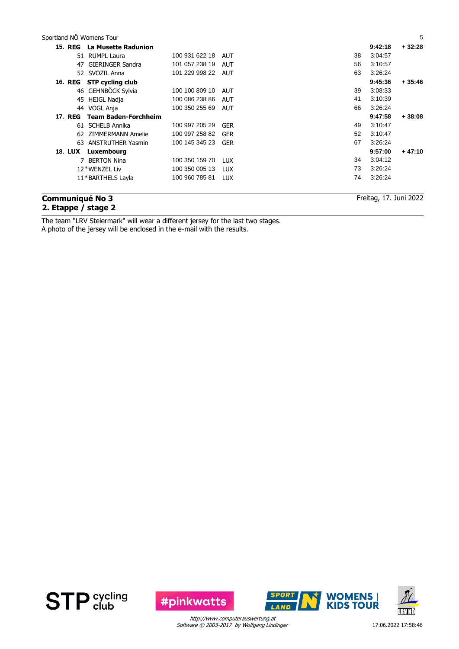| Sportland NÖ Womens Tour |                              |                    |            |    |         | 5        |
|--------------------------|------------------------------|--------------------|------------|----|---------|----------|
|                          | 15. REG La Musette Radunion  |                    |            |    | 9:42:18 | $+32:28$ |
|                          | 51 RUMPL Laura               | 100 931 622 18     | AUT        | 38 | 3:04:57 |          |
| 47                       | GIERINGER Sandra             | 101 057 238 19     | AUT        | 56 | 3:10:57 |          |
|                          | 52 SVOZIL Anna               | 101 229 998 22 AUT |            | 63 | 3:26:24 |          |
| 16. REG                  | <b>STP cycling club</b>      |                    |            |    | 9:45:36 | $+35:46$ |
|                          | 46 GEHNBÖCK Sylvia           | 100 100 809 10     | AUT        | 39 | 3:08:33 |          |
| 45                       | <b>HEIGL Nadja</b>           | 100 086 238 86     | AUT        | 41 | 3:10:39 |          |
|                          | 44 VOGL Anja                 | 100 350 255 69     | AUT        | 66 | 3:26:24 |          |
|                          | 17. REG Team Baden-Forchheim |                    |            |    | 9:47:58 | $+38:08$ |
|                          | 61 SCHELB Annika             | 100 997 205 29     | GER        | 49 | 3:10:47 |          |
|                          | 62 ZIMMERMANN Amelie         | 100 997 258 82     | GER        | 52 | 3:10:47 |          |
|                          | 63 ANSTRUTHER Yasmin         | 100 145 345 23     | GER        | 67 | 3:26:24 |          |
|                          | 18. LUX Luxembourg           |                    |            |    | 9:57:00 | $+47:10$ |
|                          | 7 BERTON Nina                | 100 350 159 70     | <b>LUX</b> | 34 | 3:04:12 |          |
|                          | 12*WENZEL Liv                | 100 350 005 13     | LUX        | 73 | 3:26:24 |          |
|                          | 11*BARTHELS Layla            | 100 960 785 81     | <b>LUX</b> | 74 | 3:26:24 |          |
|                          |                              |                    |            |    |         |          |

## **Communiqué No 3 2. Etappe / stage 2**

Freitag, 17. Juni 2022

The team "LRV Steiermark" will wear a different jersey for the last two stages.

A photo of the jersey will be enclosed in the e-mail with the results.





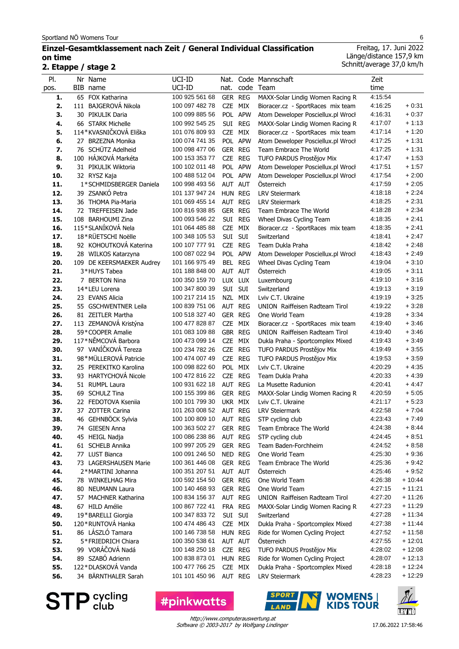## **Einzel-Gesamtklassement nach Zeit / General Individual Classification on time**

**2. Etappe / stage 2**

| PI.<br>pos. | Nr Name<br>BIB name                  | UCI-ID<br>UCI-ID                 | Nat.<br>nat. |                    | Code Mannschaft<br>code Team                              | Zeit<br>time       |                     |
|-------------|--------------------------------------|----------------------------------|--------------|--------------------|-----------------------------------------------------------|--------------------|---------------------|
| 1.          | 65 FOX Katharina                     | 100 925 561 68                   |              | GER REG            | MAXX-Solar Lindig Women Racing R                          | 4:15:54            |                     |
| 2.          | 111 BAJGEROVÁ Nikola                 | 100 097 482 78                   | CZE          | MIX                | Bioracer.cz - SportRaces mix team                         | 4:16:25            | $+0.31$             |
| 3.          | 30 PIKULIK Daria                     | 100 099 885 56                   |              | POL APW            | Atom Deweloper Posciellux.pl Wrocł                        | 4:16:31            | $+0:37$             |
| 4.          | 66 STARK Michelle                    | 100 992 545 25                   |              | SUI REG            | MAXX-Solar Lindig Women Racing R                          | 4:17:07            | $+1:13$             |
| 5.          | 114*KVASNIČKOVÁ Eliška               | 101 076 809 93                   |              | CZE MIX            | Bioracer.cz - SportRaces mix team                         | 4:17:14            | $+1:20$             |
| 6.          | 27 BRZEZNA Monika                    | 100 074 741 35                   |              | POL APW            | Atom Deweloper Posciellux.pl Wrocł                        | 4:17:25            | $+1:31$             |
| 7.          | 76 SCHÜTZ Adelheid                   | 100 098 477 06                   |              | GER REG            | Team Embrace The World                                    | 4:17:25            | $+1:31$             |
| 8.          | 100 HÁJKOVÁ Markéta                  | 100 153 353 77                   |              | CZE REG            | TUFO PARDUS Prostějov Mix                                 | 4:17:47            | $+1:53$             |
| 9.          | 31 PIKULIK Wiktoria                  | 100 102 011 48                   |              | POL APW            | Atom Deweloper Posciellux.pl Wrocł                        | 4:17:51            | $+1:57$             |
| 10.         | 32 RYSZ Kaja                         | 100 488 512 04                   |              | POL APW            | Atom Deweloper Posciellux.pl Wrocł                        | 4:17:54            | $+2:00$             |
| 11.         | 1*SCHMIDSBERGER Daniela              | 100 998 493 56                   |              | AUT AUT            | Österreich                                                | 4:17:59            | $+2:05$             |
| 12.         | 39 ZSANKÓ Petra                      | 101 137 947 24                   |              | HUN REG            | <b>LRV Steiermark</b>                                     | 4:18:18            | $+2:24$             |
| 13.         | 36 THOMA Pia-Maria                   | 101 069 455 14                   |              | AUT REG            | <b>LRV Steiermark</b>                                     | 4:18:25            | $+2:31$             |
| 14.         | 72 TREFFEISEN Jade                   | 100 816 938 85                   |              | GER REG            | Team Embrace The World                                    | 4:18:28            | $+2:34$             |
| 15.         | 108 BARHOUMI Zina                    | 100 093 546 22                   |              | SUI REG            | Wheel Divas Cycling Team                                  | 4:18:35            | $+2:41$             |
| 16.         | 115*SLANÍKOVÁ Nela                   | 101 064 485 88                   |              | CZE MIX            | Bioracer.cz - SportRaces mix team                         | 4:18:35            | $+2:41$             |
| 17.         | 18*RÜETSCHI Noëlle                   | 100 348 105 53                   |              | SUI SUI            | Switzerland                                               | 4:18:41            | + 2:47              |
| 18.         | 92 KOHOUTKOVÁ Katerina               | 100 107 777 91                   |              | CZE REG            | Team Dukla Praha                                          | 4:18:42            | $+2:48$             |
| 19.         | 28 WILKOS Katarzyna                  | 100 087 022 94                   |              | POL APW            | Atom Deweloper Posciellux.pl Wrocł                        | 4:18:43            | $+2:49$             |
| 20.         | 109 DE KEERSMAEKER Audrey            | 101 166 975 49                   |              | BEL REG            | Wheel Divas Cycling Team                                  | 4:19:04            | $+3:10$             |
| 21.         | 3*HUYS Tabea                         | 101 188 848 00                   |              | AUT AUT            | Österreich                                                | 4:19:05            | $+3:11$             |
| 22.         | 7 BERTON Nina<br>14*LEU Lorena       | 100 350 159 70                   |              | LUX LUX            | Luxembourg                                                | 4:19:10<br>4:19:13 | $+3:16$<br>$+3:19$  |
| 23.<br>24.  | 23 EVANS Alicia                      | 100 347 800 39                   |              | SUI SUI<br>NZL MIX | Switzerland<br>Lviv C.T. Ukraine                          | 4:19:19            | $+3:25$             |
| 25.         | 55 GSCHWENTNER Leila                 | 100 217 214 15<br>100 839 751 06 |              | AUT REG            | UNION Raiffeisen Radteam Tirol                            | 4:19:22            | $+3:28$             |
| 26.         | 81 ZEITLER Martha                    | 100 518 327 40                   |              | GER REG            | One World Team                                            | 4:19:28            | $+3:34$             |
| 27.         | 113 ZEMANOVÁ Kristýna                | 100 477 828 87                   |              | CZE MIX            | Bioracer.cz - SportRaces mix team                         | 4:19:40            | $+3:46$             |
| 28.         | 59*COOPER Amalie                     | 101 083 109 88                   |              | GBR REG            | UNION Raiffeisen Radteam Tirol                            | 4:19:40            | $+3.46$             |
| 29.         | 117*NĚMCOVÁ Barbora                  | 100 473 099 14                   |              | CZE MIX            | Dukla Praha - Sportcomplex Mixed                          | 4:19:43            | $+3.49$             |
| 30.         | 97 VANÍČKOVÁ Tereza                  | 100 234 782 26                   |              | CZE REG            | TUFO PARDUS Prostějov Mix                                 | 4:19:49            | $+3.55$             |
| 31.         | 98*MÜLLEROVÁ Patricie                | 100 474 007 49                   | <b>CZE</b>   | <b>REG</b>         | TUFO PARDUS Prostějov Mix                                 | 4:19:53            | $+3:59$             |
| 32.         | 25 PEREKITKO Karolina                | 100 098 822 60                   |              | POL MIX            | Lviv C.T. Ukraine                                         | 4:20:29            | $+4.35$             |
| 33.         | 93 HARTYCHOVÁ Nicole                 | 100 472 816 22                   |              | CZE REG            | Team Dukla Praha                                          | 4:20:33            | + 4:39              |
| 34.         | 51 RUMPL Laura                       | 100 931 622 18                   |              | AUT REG            | La Musette Radunion                                       | 4:20:41            | + 4:47              |
| 35.         | 69 SCHULZ Tina                       | 100 155 399 86                   |              | GER REG            | MAXX-Solar Lindig Women Racing R                          | 4:20:59            | $+5:05$             |
| 36.         | 22 FEDOTOVA Ksenija                  | 100 101 799 30                   | UKR MIX      |                    | Lviv C.T. Ukraine                                         | 4:21:17            | $+5:23$             |
| 37.         | 37 ZOTTER Carina                     | 101 263 008 52                   | AUT REG      |                    | <b>LRV Steiermark</b>                                     | 4:22:58            | $+7:04$             |
| 38.         | 46 GEHNBÖCK Sylvia                   | 100 100 809 10 AUT REG           |              |                    | STP cycling club                                          | 4:23:43            | $+7:49$             |
| 39.         | 74 GIESEN Anna                       | 100 363 502 27                   |              | GER REG            | Team Embrace The World                                    | 4:24:38            | + 8:44              |
| 40.         | 45 HEIGL Nadja                       | 100 086 238 86                   |              | AUT REG            | STP cycling club                                          | 4:24:45            | $+8:51$             |
| 41.         | 61 SCHELB Annika                     | 100 997 205 29                   |              | GER REG            | Team Baden-Forchheim                                      | 4:24:52            | $+8:58$             |
| 42.         | 77 LUST Bianca                       | 100 091 246 50                   | NED REG      |                    | One World Team                                            | 4:25:30            | $+9:36$             |
| 43.         | 73 LAGERSHAUSEN Marie                | 100 361 446 08                   |              | GER REG            | Team Embrace The World                                    | 4:25:36            | $+9:42$             |
| 44.         | 2*MARTINI Johanna                    | 100 351 207 51                   |              | AUT AUT            | Österreich                                                | 4:25:46            | $+9.52$             |
| 45.         | 78 WINKELHAG Mira                    | 100 592 154 50                   |              | GER REG            | One World Team                                            | 4:26:38            | $+10:44$            |
| 46.         | 80 NEUMANN Laura                     | 100 140 468 93                   |              | GER REG            | One World Team                                            | 4:27:15            | + 11:21             |
| 47.         | 57 MACHNER Katharina                 | 100 834 156 37                   |              | AUT REG            | UNION Raiffeisen Radteam Tirol                            | 4:27:20            | + 11:26             |
| 48.         | 67 HILD Amélie                       | 100 867 722 41                   |              | FRA REG            | MAXX-Solar Lindig Women Racing R                          | 4:27:23            | $+11:29$            |
| 49.         | 19*BARELLI Giorgia                   | 100 347 833 72                   |              | SUI SUI            | Switzerland                                               | 4:27:28            | $+11:34$            |
| 50.         | 120 * RUNTOVÁ Hanka                  | 100 474 486 43                   |              | CZE MIX            | Dukla Praha - Sportcomplex Mixed                          | 4:27:38            | $+11:44$            |
| 51.         | 86 LÁSZLÓ Tamara                     | 100 146 738 58                   |              | HUN REG            | Ride for Women Cycling Project                            | 4:27:52            | + 11:58             |
| 52.         | 5*FRIEDRICH Chiara                   | 100 350 538 61                   |              | AUT AUT            | Österreich                                                | 4:27:55            | $+12:01$            |
| 53.         | 99 VORÁČOVÁ Nadá<br>89 SZABÓ Adrienn | 100 148 250 18                   |              | CZE REG            | TUFO PARDUS Prostějov Mix                                 | 4:28:02            | $+12:08$            |
| 54.<br>55.  | 122*DLASKOVÁ Vanda                   | 100 838 873 01<br>100 477 766 25 |              | HUN REG<br>CZE MIX | Ride for Women Cycling Project                            | 4:28:07<br>4:28:18 | $+12:13$<br>+ 12:24 |
| 56.         | 34 BÄRNTHALER Sarah                  | 101 101 450 96                   |              | AUT REG            | Dukla Praha - Sportcomplex Mixed<br><b>LRV Steiermark</b> | 4:28:23            | $+12:29$            |
|             |                                      |                                  |              |                    |                                                           |                    |                     |

**STP** Sycling

**#pinkwatts** 



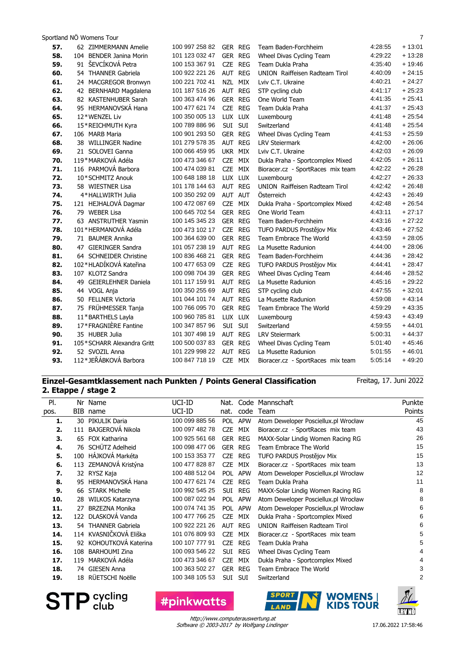| 62 ZIMMERMANN Amelie       | 100 997 258 82                                                                                                                                                   | <b>GER REG</b>                   | Team Baden-Forchheim                                   | 4:28:55                          | + 13:01                                  |
|----------------------------|------------------------------------------------------------------------------------------------------------------------------------------------------------------|----------------------------------|--------------------------------------------------------|----------------------------------|------------------------------------------|
| 104 BENDER Janina Morin    | 101 123 032 47                                                                                                                                                   | <b>GER REG</b>                   | Wheel Divas Cycling Team                               | 4:29:22                          | $+13:28$                                 |
| 91 ŠEVCÍKOVÁ Petra         | 100 153 367 91                                                                                                                                                   | CZE REG                          | Team Dukla Praha                                       | 4:35:40                          | $+19.46$                                 |
| 54 THANNER Gabriela        | 100 922 221 26                                                                                                                                                   | AUT REG                          | <b>UNION</b> Raiffeisen Radteam Tirol                  | 4:40:09                          | + 24:15                                  |
| 24 MACGREGOR Bronwyn       | 100 221 702 41                                                                                                                                                   | NZL MIX                          | Lviv C.T. Ukraine                                      | 4:40.21                          | $+24.27$                                 |
| 42 BERNHARD Magdalena      | 101 187 516 26                                                                                                                                                   | AUT REG                          | STP cycling club                                       | 4:41:17                          | $+25.23$                                 |
| 82 KASTENHUBER Sarah       | 100 363 474 96                                                                                                                                                   | GER REG                          | One World Team                                         | 4:41:35                          | $+25.41$                                 |
| 95 HERMANOVSKÁ Hana        | 100 477 621 74                                                                                                                                                   | CZE REG                          | Team Dukla Praha                                       | 4:41:37                          | $+25.43$                                 |
| 12*WENZEL Liv              | 100 350 005 13                                                                                                                                                   | LUX LUX                          | Luxembourg                                             | 4:41:48                          | $+25.54$                                 |
| 15*REICHMUTH Kyra          | 100 789 886 96                                                                                                                                                   | SUI SUI                          | Switzerland                                            | 4:41:48                          | $+25.54$                                 |
| 106 MARB Maria             | 100 901 293 50                                                                                                                                                   | GER REG                          | Wheel Divas Cycling Team                               | 4:41:53                          | $+25.59$                                 |
| 38 WILLINGER Nadine        | 101 279 578 35                                                                                                                                                   | AUT REG                          | <b>LRV Steiermark</b>                                  | 4:42:00                          | $+26.06$                                 |
| 21 SOLOVEI Ganna           | 100 066 459 95                                                                                                                                                   | UKR MIX                          | Lviv C.T. Ukraine                                      | 4:42:03                          | $+26.09$                                 |
| 119*MARKOVÁ Adéla          | 100 473 346 67                                                                                                                                                   | CZE<br>MIX                       | Dukla Praha - Sportcomplex Mixed                       | 4:42:05                          | $+26.11$                                 |
| 116 PARMOVÁ Barbora        | 100 474 039 81                                                                                                                                                   | MIX<br>CZE                       | Bioracer.cz - SportRaces mix team                      | 4:42:22                          | $+26.28$                                 |
| 10*SCHMITZ Anouk           | 100 648 188 18                                                                                                                                                   | LUX LUX                          | Luxembourg                                             | 4:42:27                          | $+26.33$                                 |
| 58 WIESTNER Lisa           | 101 178 144 63                                                                                                                                                   | AUT REG                          | <b>UNION</b> Raiffeisen Radteam Tirol                  | 4:42:42                          | $+26.48$                                 |
|                            | 100 350 292 09                                                                                                                                                   | AUT AUT                          | Österreich                                             | 4:42:43                          | $+26.49$                                 |
|                            | 100 472 087 69                                                                                                                                                   | CZE MIX                          |                                                        | 4:42:48                          | $+26.54$                                 |
| 79 WEBER Lisa              | 100 645 702 54                                                                                                                                                   | GER REG                          | One World Team                                         | 4:43:11                          | $+27:17$                                 |
| 63 ANSTRUTHER Yasmin       | 100 145 345 23                                                                                                                                                   | GER REG                          | Team Baden-Forchheim                                   | 4:43:16                          | $+27:22$                                 |
| 101*HERMANOVÁ Adéla        | 100 473 102 17                                                                                                                                                   | CZE REG                          | TUFO PARDUS Prostějov Mix                              | 4:43:46                          | $+27:52$                                 |
| 71 BAUMER Annika           | 100 364 639 00                                                                                                                                                   | GER REG                          | Team Embrace The World                                 | 4:43:59                          | $+28:05$                                 |
| 47 GIERINGER Sandra        | 101 057 238 19                                                                                                                                                   | AUT REG                          | La Musette Radunion                                    | 4:44:00                          | $+28:06$                                 |
| 64 SCHNEIDER Christine     | 100 836 468 21                                                                                                                                                   | GER REG                          | Team Baden-Forchheim                                   | 4:44:36                          | $+28.42$                                 |
|                            | 100 477 653 09                                                                                                                                                   | CZE REG                          | TUFO PARDUS Prostějov Mix                              | 4:44:41                          | $+28.47$                                 |
| 107 KLOTZ Sandra           | 100 098 704 39                                                                                                                                                   | GER REG                          | Wheel Divas Cycling Team                               | 4:44:46                          | $+28:52$                                 |
| 49 GEIERLEHNER Daniela     | 101 117 159 91                                                                                                                                                   | AUT REG                          | La Musette Radunion                                    | 4:45:16                          | $+29.22$                                 |
| 44 VOGL Anja               |                                                                                                                                                                  |                                  | STP cycling club                                       |                                  | $+32:01$                                 |
| 50 FELLNER Victoria        | 101 044 101 74                                                                                                                                                   |                                  | La Musette Radunion                                    |                                  | $+43:14$                                 |
|                            |                                                                                                                                                                  |                                  | Team Embrace The World                                 |                                  | $+43:35$                                 |
|                            | 100 960 785 81                                                                                                                                                   | LUX LUX                          | Luxembourg                                             |                                  | $+43.49$                                 |
|                            | 100 347 857 96                                                                                                                                                   |                                  | Switzerland                                            | 4:59:55                          | $+44:01$                                 |
| 35 HUBER Julia             | 101 307 498 19                                                                                                                                                   | AUT REG                          | <b>LRV Steiermark</b>                                  | 5:00:31                          | $+44.37$                                 |
| 105*SCHARR Alexandra Gritt | 100 500 037 83                                                                                                                                                   |                                  | Wheel Divas Cycling Team                               | 5:01:40                          | $+45.46$                                 |
| 52 SVOZIL Anna             | 101 229 998 22                                                                                                                                                   | <b>REG</b><br>AUT                | La Musette Radunion                                    | 5:01:55                          | $+46:01$                                 |
|                            | 100 847 718 19                                                                                                                                                   | CZE MIX                          | Bioracer.cz - SportRaces mix team                      | 5:05:14                          | $+49.20$                                 |
|                            | 4*HALLWIRTH Julia<br>121 HEJHALOVÁ Dagmar<br>102*HLADÍKOVÁ Kateřina<br>75 FRÜHMESSER Tanja<br>11*BARTHELS Layla<br>17*FRAGNIÈRE Fantine<br>112*JEŘÁBKOVÁ Barbora | 100 350 255 69<br>100 766 095 70 | AUT REG<br>AUT REG<br>GER REG<br>SUI<br>SUI<br>GER REG | Dukla Praha - Sportcomplex Mixed | 4:47:55<br>4:59:08<br>4:59:29<br>4:59:43 |

## **Einzel-Gesamtklassement nach Punkten / Points General Classification 2. Etappe / stage 2**

Freitag, 17. Juni 2022

| PI.  |     | Nr Name                 | UCI-ID         | Nat.       |                | Code Mannschaft                      | Punkte |
|------|-----|-------------------------|----------------|------------|----------------|--------------------------------------|--------|
| pos. | BIB | name                    | UCI-ID         | nat.       | code           | Team                                 | Points |
| 1.   |     | 30 PIKULIK Daria        | 100 099 885 56 | <b>POL</b> | APW            | Atom Deweloper Posciellux.pl Wrocław | 45     |
| 2.   |     | 111 BAJGEROVÁ Nikola    | 100 097 482 78 | <b>CZE</b> | MIX            | Bioracer.cz - SportRaces mix team    | 43     |
| 3.   |     | 65 FOX Katharina        | 100 925 561 68 |            | <b>GER REG</b> | MAXX-Solar Lindig Women Racing RG    | 26     |
| 4.   |     | 76 SCHÜTZ Adelheid      | 100 098 477 06 |            | <b>GER REG</b> | Team Embrace The World               | 15     |
| 5.   |     | 100 HÁJKOVÁ Markéta     | 100 153 353 77 | <b>CZE</b> | <b>REG</b>     | TUFO PARDUS Prostějov Mix            | 15     |
| 6.   |     | 113 ZEMANOVÁ Kristýna   | 100 477 828 87 | <b>CZE</b> | MIX            | Bioracer.cz - SportRaces mix team    | 13     |
| 7.   |     | 32 RYSZ Kaja            | 100 488 512 04 | <b>POL</b> | <b>APW</b>     | Atom Deweloper Posciellux.pl Wrocław | 12     |
| 8.   | 95  | <b>HERMANOVSKÁ Hana</b> | 100 477 621 74 | <b>CZE</b> | <b>REG</b>     | Team Dukla Praha                     | 11     |
| 9.   | 66  | <b>STARK Michelle</b>   | 100 992 545 25 | Sui        | REG            | MAXX-Solar Lindig Women Racing RG    | 8      |
| 10.  | 28  | WILKOS Katarzyna        | 100 087 022 94 |            | POL APW        | Atom Deweloper Posciellux.pl Wrocław | 8      |
| 11.  | 27  | <b>BRZEZNA Monika</b>   | 100 074 741 35 | POL        | <b>APW</b>     | Atom Deweloper Posciellux.pl Wrocław | 6      |
| 12.  |     | 122 DLASKOVÁ Vanda      | 100 477 766 25 | <b>CZE</b> | MIX            | Dukla Praha - Sportcomplex Mixed     | 6      |
| 13.  |     | 54 THANNER Gabriela     | 100 922 221 26 |            | AUT REG        | UNION Raiffeisen Radteam Tirol       | 6      |
| 14.  |     | 114 KVASNIČKOVÁ Eliška  | 101 076 809 93 | <b>CZE</b> | MIX            | Bioracer.cz - SportRaces mix team    | 5      |
| 15.  |     | 92 KOHOUTKOVÁ Katerina  | 100 107 777 91 | <b>CZE</b> | <b>REG</b>     | Team Dukla Praha                     | 5      |
| 16.  | 108 | <b>BARHOUMI Zina</b>    | 100 093 546 22 | SUI        | REG            | Wheel Divas Cycling Team             | 4      |
| 17.  |     | 119 MARKOVÁ Adéla       | 100 473 346 67 | <b>CZE</b> | MIX            | Dukla Praha - Sportcomplex Mixed     | 4      |
| 18.  |     | 74 GIESEN Anna          | 100 363 502 27 | <b>GER</b> | <b>REG</b>     | Team Embrace The World               | 3      |
| 19.  | 18  | RÜETSCHI Noëlle         | 100 348 105 53 | <b>SUI</b> | <b>SUI</b>     | Switzerland                          | 2      |
|      |     |                         |                |            |                |                                      |        |

**STP** cycling

Software © 2003-2017 by Wolfgang Lindinger http://www.computerauswertung.at

**#pinkwatts** 



**SPORT WOMENS**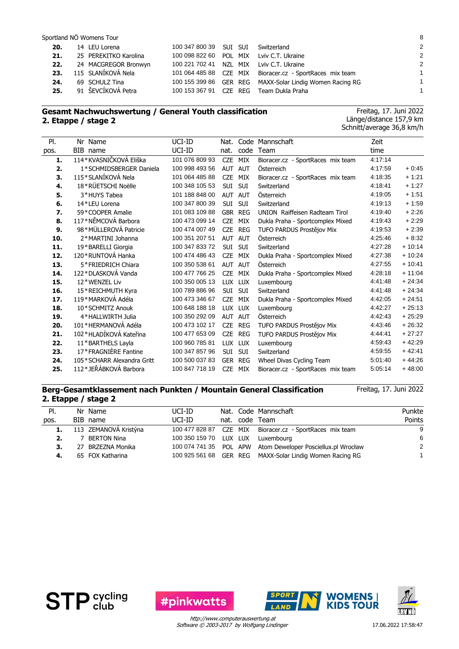| 20.<br>21.<br>22.<br>23.<br>24. | 14 LEU Lorena<br>25 PEREKITKO Karolina<br>24 MACGREGOR Bronwyn<br>115 SLANÍKOVÁ Nela<br>69 SCHULZ Tina | 100 347 800 39 SUI SUI Switzerland | 100 098 822 60 POL MIX Lviv C.T. Ukraine<br>100 221 702 41 NZL MIX Lviv C.T. Ukraine<br>101 064 485 88 CZE MIX Bioracer.cz - SportRaces mix team<br>100 155 399 86 GER REG MAXX-Solar Lindig Women Racing RG | -2<br>$\overline{2}$<br>$\overline{2}$<br>$\mathbf{1}$<br>1 |
|---------------------------------|--------------------------------------------------------------------------------------------------------|------------------------------------|--------------------------------------------------------------------------------------------------------------------------------------------------------------------------------------------------------------|-------------------------------------------------------------|
| 25.                             | 91 ŠEVCÍKOVÁ Petra                                                                                     |                                    | 100 153 367 91 CZE REG Team Dukla Praha                                                                                                                                                                      | 1                                                           |

## **Gesamt Nachwuchswertung / General Youth classification 2. Etappe / stage 2**

Freitag, 17. Juni 2022 Länge/distance 157,9 km Schnitt/average 36,8 km/h

| Nr Name<br>BIB name<br>114*KVASNIČKOVÁ Eliška | UCI-ID<br>UCI-ID | Nat.<br>nat. | code       | Code Mannschaft                                 | Zeit                                                                                              |          |
|-----------------------------------------------|------------------|--------------|------------|-------------------------------------------------|---------------------------------------------------------------------------------------------------|----------|
|                                               |                  |              |            |                                                 |                                                                                                   |          |
|                                               |                  |              |            | Team                                            | time                                                                                              |          |
|                                               | 101 076 809 93   | <b>CZE</b>   | MIX        | Bioracer.cz - SportRaces mix team               | 4:17:14                                                                                           |          |
| 1*SCHMIDSBERGER Daniela                       | 100 998 493 56   | <b>AUT</b>   | <b>AUT</b> | Österreich                                      | 4:17:59                                                                                           | $+0.45$  |
| 115*SLANÍKOVÁ Nela                            | 101 064 485 88   | <b>CZE</b>   | MIX        | Bioracer.cz - SportRaces mix team               | 4:18:35                                                                                           | $+1:21$  |
| 18*RÜETSCHI Noëlle                            | 100 348 105 53   | SUI          | SUI        | Switzerland                                     | 4:18:41                                                                                           | $+1:27$  |
| 3*HUYS Tabea                                  | 101 188 848 00   | AUT AUT      |            | Österreich                                      | 4:19:05                                                                                           | $+1:51$  |
| 14*LEU Lorena                                 | 100 347 800 39   | <b>SUI</b>   | <b>SUI</b> | Switzerland                                     | 4:19:13                                                                                           | $+1:59$  |
| 59*COOPER Amalie                              | 101 083 109 88   |              | GBR REG    | <b>UNION</b> Raiffeisen Radteam Tirol           | 4:19:40                                                                                           | $+2:26$  |
| 117*NĚMCOVÁ Barbora                           | 100 473 099 14   | <b>CZE</b>   | MIX        | Dukla Praha - Sportcomplex Mixed                | 4:19:43                                                                                           | $+2:29$  |
| 98*MÜLLEROVÁ Patricie                         | 100 474 007 49   | <b>CZE</b>   | <b>REG</b> | TUFO PARDUS Prostějov Mix                       | 4:19:53                                                                                           | $+2:39$  |
| 2*MARTINI Johanna                             | 100 351 207 51   | <b>AUT</b>   | AUT        | Österreich                                      | 4:25:46                                                                                           | $+8.32$  |
| 19*BARELLI Giorgia                            | 100 347 833 72   | <b>SUI</b>   | SUI        | Switzerland                                     | 4:27:28                                                                                           | $+10:14$ |
| 120*RUNTOVÁ Hanka                             | 100 474 486 43   | <b>CZE</b>   | MIX        | Dukla Praha - Sportcomplex Mixed                | 4:27:38                                                                                           | $+10:24$ |
| 5*FRIEDRICH Chiara                            | 100 350 538 61   | <b>AUT</b>   | <b>AUT</b> | Österreich                                      | 4:27:55                                                                                           | $+10:41$ |
| 122*DLASKOVÁ Vanda                            | 100 477 766 25   | <b>CZE</b>   | MIX        | Dukla Praha - Sportcomplex Mixed                | 4:28:18                                                                                           | $+11:04$ |
| 12*WENZEL Liv                                 | 100 350 005 13   |              |            | Luxembourg                                      | 4:41:48                                                                                           | $+24:34$ |
| 15*REICHMUTH Kyra                             | 100 789 886 96   | <b>SUI</b>   | <b>SUI</b> | Switzerland                                     | 4:41:48                                                                                           | $+24.34$ |
| 119*MARKOVÁ Adéla                             | 100 473 346 67   | <b>CZE</b>   | MIX        | Dukla Praha - Sportcomplex Mixed                | 4:42:05                                                                                           | $+24.51$ |
| 10*SCHMITZ Anouk                              | 100 648 188 18   |              |            | Luxembourg                                      | 4:42:27                                                                                           | $+25:13$ |
| 4*HALLWIRTH Julia                             | 100 350 292 09   | <b>AUT</b>   | <b>AUT</b> | Österreich                                      | 4:42:43                                                                                           | $+25:29$ |
| 101*HERMANOVÁ Adéla                           | 100 473 102 17   | <b>CZE</b>   | <b>REG</b> | TUFO PARDUS Prostějov Mix                       | 4:43:46                                                                                           | $+26:32$ |
| 102*HLADÍKOVÁ Kateřina                        | 100 477 653 09   | <b>CZE</b>   | <b>REG</b> | TUFO PARDUS Prostějov Mix                       | 4:44:41                                                                                           | $+27:27$ |
| 11*BARTHELS Layla                             | 100 960 785 81   |              |            | Luxembourg                                      | 4:59:43                                                                                           | $+42:29$ |
| 17*FRAGNIÈRE Fantine                          | 100 347 857 96   | SUI          | SUI        | Switzerland                                     | 4:59:55                                                                                           | $+42:41$ |
| 105*SCHARR Alexandra Gritt                    | 100 500 037 83   |              |            | Wheel Divas Cycling Team                        | 5:01:40                                                                                           | $+44:26$ |
|                                               |                  |              |            |                                                 | 5.05.14                                                                                           | $+48:00$ |
|                                               |                  |              |            | LUX LUX<br>LUX LUX<br>LUX LUX<br><b>GER REG</b> | 112*JEŘÁBKOVÁ Barbora<br>100 847 718 19<br><b>CZE</b><br>MIX<br>Bioracer.cz - SportRaces mix team |          |

### **Berg-Gesamtklassement nach Punkten / Mountain General Classification 2. Etappe / stage 2**

Freitag, 17. Juni 2022

| PI.  | Nr Name               | UCI-ID                            |  | Nat. Code Mannschaft                                        | Punkte         |
|------|-----------------------|-----------------------------------|--|-------------------------------------------------------------|----------------|
| pos. | BIB name              | UCI-ID                            |  | nat. code Team                                              | Points         |
| 1.   | 113 ZEMANOVÁ Kristýna |                                   |  | 100 477 828 87 CZE MIX Bioracer.cz - SportRaces mix team    | -9             |
| 2.   | 7 BERTON Nina         | 100 350 159 70 LUX LUX Luxembourg |  |                                                             | -6             |
| 3.   | 27 BRZEZNA Monika     |                                   |  | 100 074 741 35 POL APW Atom Deweloper Posciellux.pl Wrocław | $\overline{2}$ |
| 4.   | 65 FOX Katharina      |                                   |  | 100 925 561 68 GER REG MAXX-Solar Lindig Women Racing RG    |                |
|      |                       |                                   |  |                                                             |                |







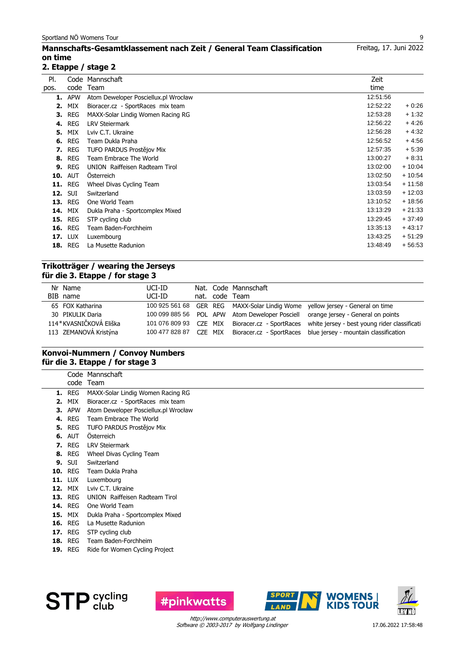## **Mannschafts-Gesamtklassement nach Zeit / General Team Classification on time**

### **2. Etappe / stage 2**

| PI.  | Code           | Mannschaft                           | Zeit     |          |
|------|----------------|--------------------------------------|----------|----------|
| pos. | code           | Team                                 | time     |          |
|      | <b>1.</b> APW  | Atom Deweloper Posciellux.pl Wrocław | 12:51:56 |          |
| 2.   | MIX            | Bioracer.cz - SportRaces mix team    | 12:52:22 | $+0.26$  |
|      | <b>3. REG</b>  | MAXX-Solar Lindig Women Racing RG    | 12:53:28 | $+1:32$  |
| 4.   | <b>REG</b>     | <b>LRV Steiermark</b>                | 12:56:22 | $+4:26$  |
| 5.   | <b>MIX</b>     | Lviv C.T. Ukraine                    | 12:56:28 | $+4:32$  |
| 6.   | <b>REG</b>     | Team Dukla Praha                     | 12:56:52 | $+4:56$  |
| 7.   | REG            | TUFO PARDUS Prostějov Mix            | 12:57:35 | $+5:39$  |
|      | <b>8. REG</b>  | Team Embrace The World               | 13:00:27 | $+8:31$  |
| 9.   | <b>REG</b>     | UNION Raiffeisen Radteam Tirol       | 13:02:00 | $+10:04$ |
| 10.  | <b>AUT</b>     | <b>Osterreich</b>                    | 13:02:50 | $+10:54$ |
| 11.  | <b>REG</b>     | Wheel Divas Cycling Team             | 13:03:54 | $+11:58$ |
| 12.  | <b>SUI</b>     | Switzerland                          | 13:03:59 | $+12:03$ |
|      | <b>13. REG</b> | One World Team                       | 13:10:52 | $+18:56$ |
| 14.  | MIX            | Dukla Praha - Sportcomplex Mixed     | 13:13:29 | $+21:33$ |
| 15.  | <b>REG</b>     | STP cycling club                     | 13:29:45 | $+37:49$ |
| 16.  | REG            | Team Baden-Forchheim                 | 13:35:13 | $+43:17$ |
|      | <b>17. LUX</b> | Luxembourg                           | 13:43:25 | $+51:29$ |
| 18.  | <b>REG</b>     | La Musette Radunion                  | 13:48:49 | $+56:53$ |

### **Trikotträger / wearing the Jerseys für die 3. Etappe / for stage 3**

| Nr Name<br>BIB name    | UCI-ID<br>UCI-ID |         | Nat. Code Mannschaft<br>nat. code Team |                                                                                  |
|------------------------|------------------|---------|----------------------------------------|----------------------------------------------------------------------------------|
| 65 FOX Katharina       |                  |         |                                        | 100 925 561 68 GER REG MAXX-Solar Lindig Wome yellow jersey - General on time    |
| 30 PIKULIK Daria       |                  |         |                                        | 100 099 885 56 POL APW Atom Deweloper Posciell orange jersey - General on points |
| 114*KVASNIČKOVÁ Eliška | 101 076 809 93   | CZE MIX |                                        | Bioracer.cz - SportRaces white jersey - best young rider classificati            |
| 113 ZEMANOVÁ Kristýna  | 100 477 828 87   | CZE MIX |                                        | Bioracer.cz - SportRaces blue jersey - mountain classification                   |

## **Konvoi-Nummern / Convoy Numbers für die 3. Etappe / for stage 3**

|    |                | Code Mannschaft                      |
|----|----------------|--------------------------------------|
|    |                | code Team                            |
|    | <b>1.</b> REG  | MAXX-Solar Lindig Women Racing RG    |
| 2. | MIX            | Bioracer.cz - SportRaces mix team    |
| з. | APW            | Atom Deweloper Posciellux.pl Wrocław |
|    | <b>4. REG</b>  | Team Embrace The World               |
|    | <b>5. REG</b>  | TUFO PARDUS Prostějov Mix            |
|    | <b>6.</b> AUT  | <b>Osterreich</b>                    |
|    | <b>7.</b> REG  | <b>LRV Steiermark</b>                |
|    | <b>8. REG</b>  | Wheel Divas Cycling Team             |
|    | <b>9.</b> SUI  | Switzerland                          |
|    | <b>10. REG</b> | Team Dukla Praha                     |
|    | <b>11. LUX</b> | Luxembourg                           |
|    | <b>12.</b> MIX | Lviv C.T. Ukraine                    |
|    | <b>13. REG</b> | UNION Raiffeisen Radteam Tirol       |
|    | <b>14. REG</b> | One World Team                       |
|    | <b>15. MIX</b> | Dukla Praha - Sportcomplex Mixed     |
|    | <b>16. REG</b> | La Musette Radunion                  |
|    | <b>17.</b> REG | STP cycling club                     |
|    | <b>18. REG</b> | Team Baden-Forchheim                 |
|    | $- - -$        |                                      |

19. REG Ride for Women Cycling Project





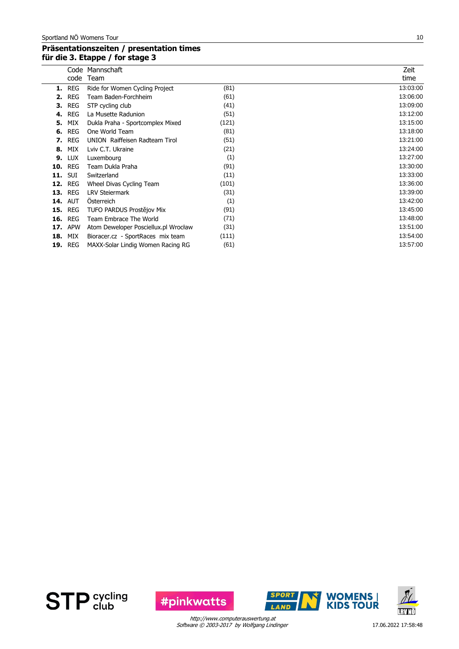## **Präsentationszeiten / presentation times für die 3. Etappe / for stage 3**

|     | code       | Code Mannschaft<br>Team              |       | Zeit<br>time |
|-----|------------|--------------------------------------|-------|--------------|
| 1.  | <b>REG</b> | Ride for Women Cycling Project       | (81)  | 13:03:00     |
| 2.  | <b>REG</b> | Team Baden-Forchheim                 | (61)  | 13:06:00     |
| з.  | <b>REG</b> | STP cycling club                     | (41)  | 13:09:00     |
| 4.  | <b>REG</b> | La Musette Radunion                  | (51)  | 13:12:00     |
| 5.  | MIX        | Dukla Praha - Sportcomplex Mixed     | (121) | 13:15:00     |
| 6.  | <b>REG</b> | One World Team                       | (81)  | 13:18:00     |
| 7.  | <b>REG</b> | UNION Raiffeisen Radteam Tirol       | (51)  | 13:21:00     |
| 8.  | MIX        | Lviv C.T. Ukraine                    | (21)  | 13:24:00     |
| 9.  | <b>LUX</b> | Luxembourg                           | (1)   | 13:27:00     |
| 10. | <b>REG</b> | Team Dukla Praha                     | (91)  | 13:30:00     |
| 11. | <b>SUI</b> | Switzerland                          | (11)  | 13:33:00     |
| 12. | <b>REG</b> | Wheel Divas Cycling Team             | (101) | 13:36:00     |
| 13. | <b>REG</b> | <b>LRV Steiermark</b>                | (31)  | 13:39:00     |
| 14. | <b>AUT</b> | <b>Osterreich</b>                    | (1)   | 13:42:00     |
| 15. | <b>REG</b> | TUFO PARDUS Prostějov Mix            | (91)  | 13:45:00     |
| 16. | <b>REG</b> | Team Embrace The World               | (71)  | 13:48:00     |
| 17. | <b>APW</b> | Atom Deweloper Posciellux.pl Wrocław | (31)  | 13:51:00     |
| 18. | MIX        | Bioracer.cz - SportRaces mix team    | (111) | 13:54:00     |
| 19. | <b>REG</b> | MAXX-Solar Lindig Women Racing RG    | (61)  | 13:57:00     |